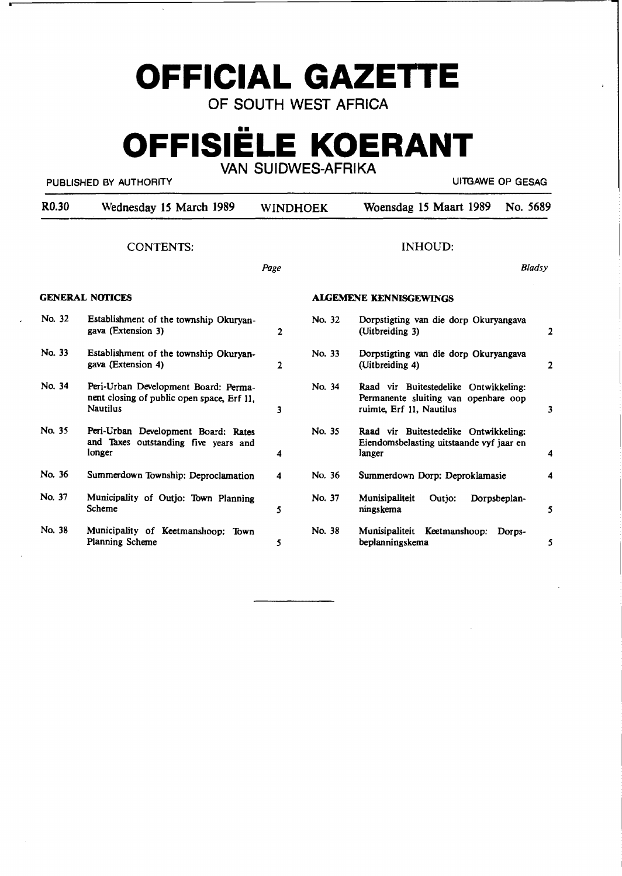## **OFFICIAL GAZETTE**

OF SOUTH WEST AFRICA

# **OFFISIELE KOERANT**

#### PUBLISHED BY AUTHORITY **EXAMPLE A SECOND CONTRACT CONTRACT CONTRACT CONTRACT CONTRACT CONTRACT CONTRACT CONTRACT**

 $\bar{z}$ 

VAN SUIDWES-AFRIKA

| R <sub>0.30</sub>      | Wednesday 15 March 1989                                                                               | WINDHOEK       |        | Woensdag 15 Maart 1989                                                                                    | No. 5689      |
|------------------------|-------------------------------------------------------------------------------------------------------|----------------|--------|-----------------------------------------------------------------------------------------------------------|---------------|
|                        | <b>CONTENTS:</b>                                                                                      |                |        | <b>INHOUD:</b>                                                                                            |               |
|                        |                                                                                                       | Page           |        |                                                                                                           | <b>Bladsy</b> |
| <b>GENERAL NOTICES</b> |                                                                                                       |                |        | <b>ALGEMENE KENNISGEWINGS</b>                                                                             |               |
| No. 32                 | Establishment of the township Okuryan-<br>gava (Extension 3)                                          | 2              | No. 32 | Dorpstigting van die dorp Okuryangava<br>(Uitbreiding 3)                                                  | 2             |
| No. 33                 | Establishment of the township Okuryan-<br>gava (Extension 4)                                          | $\overline{2}$ | No. 33 | Dorpstigting van die dorp Okuryangava<br>(Uitbreiding 4)                                                  | 2             |
| No. 34                 | Peri-Urban Development Board: Perma-<br>nent closing of public open space, Erf 11,<br><b>Nautilus</b> | 3              | No. 34 | Raad vir Buitestedelike Ontwikkeling:<br>Permanente sluiting van openbare oop<br>ruimte, Erf 11, Nautilus | 3             |
| No. 35                 | Peri-Urban Development Board: Rates<br>and Taxes outstanding five years and<br>longer                 | 4              | No. 35 | Raad vir Buitestedelike Ontwikkeling:<br>Eiendomsbelasting uitstaande vyf jaar en<br>langer               | 4             |
| No. 36                 | Summerdown Township: Deproclamation                                                                   | 4              | No. 36 | Summerdown Dorp: Deproklamasie                                                                            | 4             |
| No. 37                 | Municipality of Outjo: Town Planning<br>Scheme                                                        | 5              | No. 37 | Munisipaliteit<br>Dorpsbeplan-<br>Outjo:<br>ningskema                                                     | 5             |
| No. 38                 | Municipality of Keetmanshoop: Town<br>Planning Scheme                                                 | 5              | No. 38 | Munisipaliteit Keetmanshoop:<br>Dorps-<br>beplanningskema                                                 | 5             |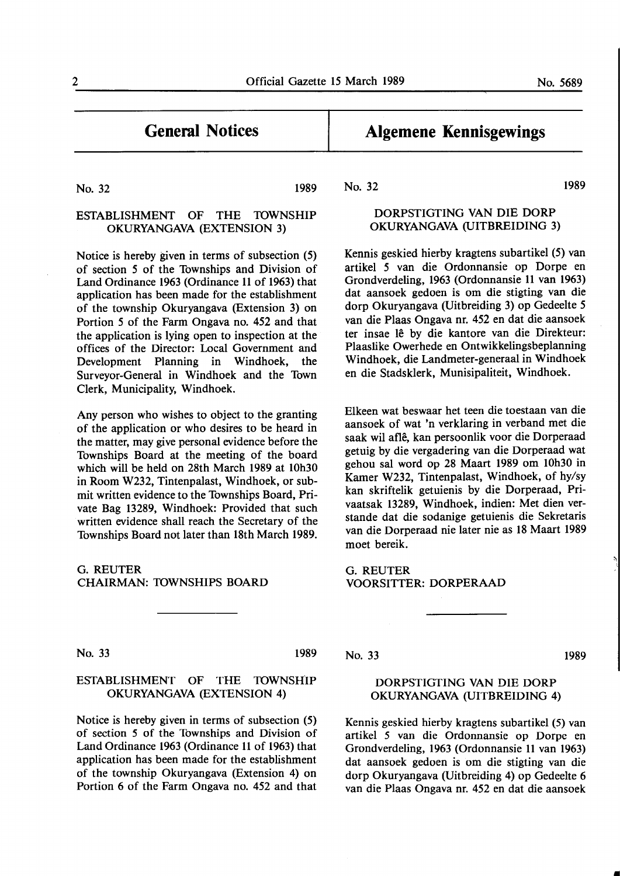No. 32 1989

#### ESTABLISHMENT OF THE **10WNSHIP OKURYANGAVA** (EXTENSION 3)

Notice is hereby given in terms of subsection (5) of section *5* of the Townships and Division of Land Ordinance **1963** (Ordinance **11** of **1963)** that application has been made for the establishment of the township Okuryangava (Extension 3) on Portion *5* of the Farm Ongava no. 452 and that the application is lying open to inspection at the offices of the Director: Local Government and Development Planning in Windhoek, the Surveyor-General in Windhoek and the Town Clerk, Municipality, Windhoek.

Any person who wishes to object to the granting of the application or who desires to be heard in the matter, may give personal evidence before the Townships Board at the meeting of the board which will be held on 28th March 1989 at 10h30 in Room W232, Tintenpalast, Windhoek, or submit written evidence to the Townships Board, Private Bag 13289, Windhoek: Provided that such written evidence shall reach the Secretary of the Townships Board not later than 18th March 1989.

G.REUTER CHAIRMAN: 10WNSHIPS BOARD

No. 33 1989

#### ESTABLISHMENT OF THE 10WNSHIP OKURYANGAVA (EXTENSION 4)

Notice is hereby given in terms of subsection (5) of section 5 of the Townships and Division of Land Ordinance 1963 (Ordinance 11 of 1963) that application has been made for the establishment of the township Okuryangava (Extension 4) on Portion 6 of the Farm Ongava no. 452 and that **Algemene Kennisgewings** 

No. 32

### DORPSTIGTING VAN DIE DORP **OKURYANGAVA** (UITBREIDING 3)

Kennis geskied hierby kragtens subartikel (5) van artikel *5* van die Ordonnansie op Dorpe en Grondverdeling, 1963 (Ordonnansie 11 van 1963) dat aansoek gedoen is om die stigting van die dorp Okuryangava (Uitbreiding 3) op Gedeelte *5*  van die Plaas Ongava nr. 452 en dat die aansoek ter insae lê by die kantore van die Direkteur: Plaaslike Owerhede en Ontwikkelingsbeplanning Windhoek, die Landmeter-generaal in Windhoek en die Stadsklerk, Munisipaliteit, Windhoek.

Elkeen wat beswaar bet teen die toestaan van die aansoek of wat 'n verklaring in verband met die saak wil afle, kan persoonlik voor die Dorperaad getuig by die vergadering van die Dorperaad wat gehou sal word op 28 Maart 1989 om 10h30 in Kamer W232, Tintenpalast, Windhoek, of hy/sy kan skriftelik getuienis by die Dorperaad, Privaatsak 13289, Windhoek, indien: Met dien verstande dat die sodanige getuienis die Sekretaris van die Dorperaad nie later nie as 18 Maart 1989 moet bereik.

**G.REUTER VOORSITTER: DORPERAAD** 

No. 33

#### DORPSTIGTING VAN DIE DORP OKURYANGAVA (UITBREIDING 4)

Kennis geskied hierby kragtens subartikel (5) van artikel 5 van die Ordonnansie op Dorpe en Grondverdeling, 1963 (Ordonnansie 11 van 1963) dat aansoek gedoen is om die stigting van die dorp Okuryangava (Uitbreiding 4) op Gedeelte 6 van die Plaas Ongava nr. 452 en dat die aansoek

1989

1989

•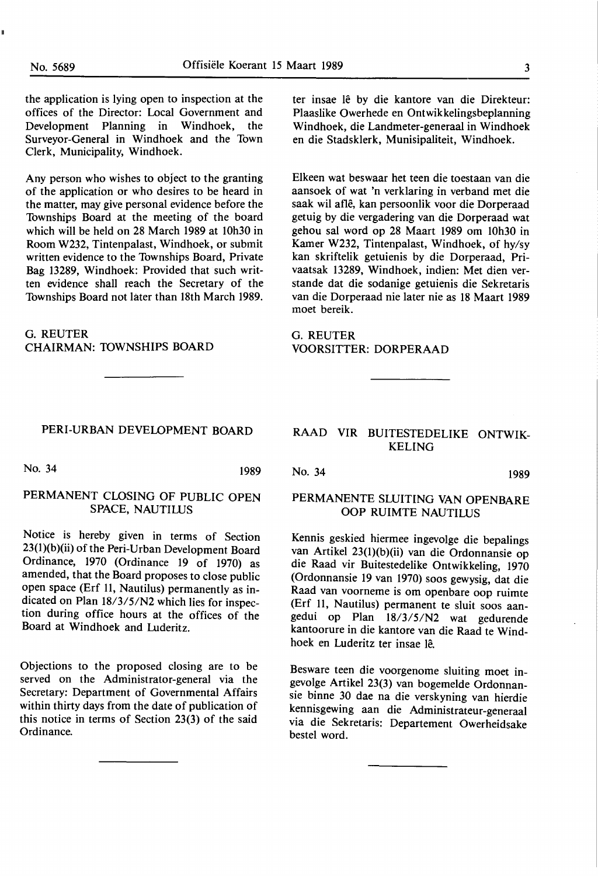the application is lying open to inspection at the offices of the Director: Local Government and Development Planning in Windhoek, the Surveyor-General in Windhoek and the Town Clerk, Municipality, Windhoek.

Any person who wishes to object to the granting of the application or who desires to be heard in the matter, may give personal evidence before the Townships Board at the meeting of the board which will be held on 28 March 1989 at 10h30 in Room W232, Tintenpalast, Windhoek, or submit written evidence to the Townships Board, Private Bag 13289, Windhoek: Provided that such written evidence shall reach the Secretary of the Townships Board not later than 18th March 1989.

G.REUTER CHAIRMAN: 10WNSHIPS BOARD

#### PERI-URBAN DEVELOPMENT BOARD

No. 34 1989

#### PERMANENT CLOSING OF PUBLIC OPEN SPACE, NAUTILUS

Notice is hereby given in terms of Section 23(l)(b)(ii) of the Peri-Urban Development Board Ordinance, 1970 (Ordinance 19 of 1970) as amended, that the Board proposes to close public open space (Erf 11, Nautilus) permanently as indicated on Plan 18/3/5/N2 which lies for inspection during office hours at the offices of the Board at Windhoek and Luderitz.

Objections to the proposed closing are to be served on the Administrator-general via the Secretary: Department of Governmental Affairs within thirty days from the date of publication of this notice in terms of Section 23(3) of the said Ordinance.

ter insae lê by die kantore van die Direkteur: Plaaslike Owerhede en Ontwikkelingsbeplanning Windhoek, die Landmeter-generaal in Windhoek en die Stadsklerk, Munisipaliteit, Windhoek.

Elkeen wat beswaar bet teen die toestaan van die aansoek of wat 'n verklaring in verband met die saak wil afle, kan persoonlik voor die Dorperaad getuig by die vergadering van die Dorperaad wat gehou sal word op 28 Maart 1989 om 10h30 in Kamer W232, Tintenpalast, Windhoek, of hy/sy kan skriftelik getuienis by die Dorperaad, Privaatsak 13289, Windhoek, indien: Met dien verstande dat die sodanige getuienis die Sekretaris van die Dorperaad nie later nie as 18 Maart 1989 moet bereik.

G.REUTER VOORSITTER: DORPERAAD

#### RAAD VIR BUITESTEDELIKE ONTWIK-KELING

No. 34 1989

#### PERMANENTE SLUITING VAN OPENBARE OOP RUIMTE NAUTILUS

Kennis geskied hiermee ingevolge die bepalings van Artikel 23(l)(b)(ii) van die Ordonnansie op die Raad vir Buitestedelike Ontwikkeling, 1970 (Ordonnansie 19 van 1970) soos gewysig, dat die Raad van voorneme is om openbare oop ruimte (Erf 11, Nautilus) permanent te sluit soos aangedui op Plan 18/3/5/N2 wat gedurende kantoorure in die kantore van die Raad te Windhoek en Luderitz ter insae le.

Besware teen die voorgenome sluiting moet ingevolge Artikel 23(3) van bogemelde Ordonnansie binne 30 dae na die verskyning van hierdie kennisgewing aan die Administrateur-generaal via die Sekretaris: Departement Owerheidsake bestel word.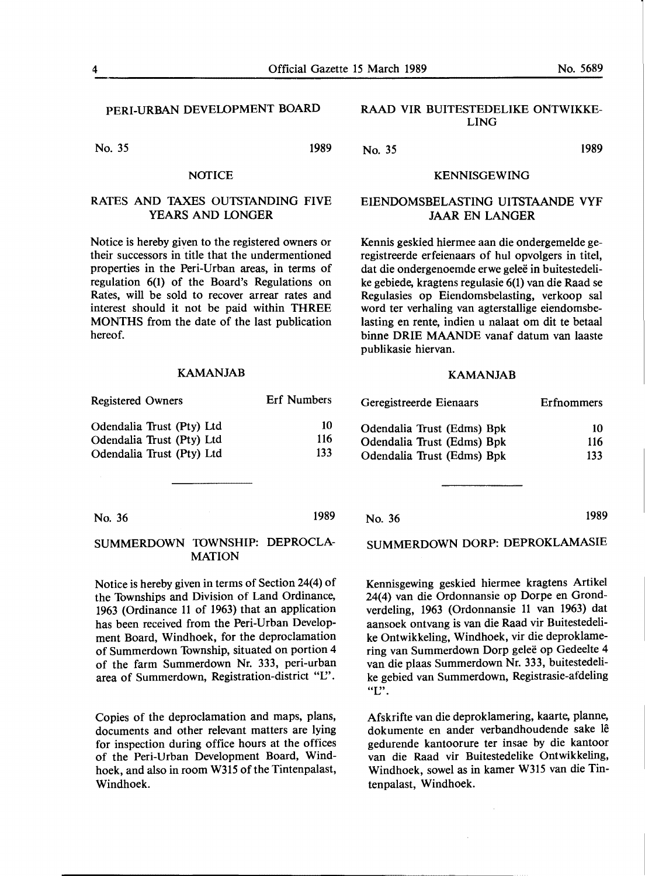PERI-URBAN DEVELOPMENT BOARD

No. 35 1989

#### **NOTICE**

#### **RATES AND TAXES OUTSTANDING** FIVE **YEARS AND LONGER**

Notice is hereby given to the registered owners or their successors in title that the undermentioned properties in the Peri-Urban areas, in terms of regulation 6(1) of the Board's Regulations on Rates, will be sold to recover arrear rates and interest should it not be paid within THREE **MONTHS** from the date of the last publication hereof.

#### **KAMANJAB**

| <b>Registered Owners</b>  | <b>Erf</b> Numbers |
|---------------------------|--------------------|
| Odendalia Trust (Pty) Ltd | 10                 |
| Odendalia Trust (Pty) Ltd | 116                |
| Odendalia Trust (Pty) Ltd | 133                |

No. 36

#### **SUMMERDOWN 10WNSHIP: DEPROCLA-MATION**

Notice is hereby given in terms of Section 24(4) of the Townships and Division of Land Ordinance, 1963 (Ordinance 11 of 1963) that an application has been received from the Peri-Urban Development Board, Windhoek, for the deproclamation of Summerdown Township, situated on portion 4 of the farm Summerdown Nr. 333, peri-urban area of Summerdown, Registration-district "L".

Copies of the deproclamation and maps, plans, documents and other relevant matters are lying for inspection during office hours at the offices of the Peri-Urban Development Board, Windhoek, and also in room W315 of the Tintenpalast, Windhoek.

#### RAAD VIR BUITESTEDELIKE ONTWIKKE-LING

No. 35 1989

#### KENNISGEWING

#### EIENDOMSBELASTING UITSTAANDE VYF JAAR EN LANGER

Kennis geskied hiermee aan die ondergemelde geregistreerde erfeienaars of hul opvolgers in titel, dat die ondergenoemde erwe geleë in buitestedelike gebiede, kragtens regulasie 6(1) van die Raad se Regulasies op Eiendomsbelasting, verkoop sal word ter verhaling van agterstallige eiendomsbelasting en rente, indien u nalaat om dit te betaal binne **ORIE MAANDE** vanaf datum van laaste publikasie hiervan.

#### **KAMANJAB**

| Geregistreerde Eienaars    | Erfnommers |
|----------------------------|------------|
| Odendalia Trust (Edms) Bpk | 10         |
| Odendalia Trust (Edms) Bpk | 116        |
| Odendalia Trust (Edms) Bpk | 133        |

No. 36

1989

SUMMERDOWN DORP: DEPROKLAMASIE

Kennisgewing geskied hiermee kragtens Artikel 24(4) van die Ordonnansie op Dorpe en Grondverdeling, 1963 (Ordonnansie 11 van 1963) dat aansoek ontvang is van die Raad vir Buitestedelike Ontwikkeling, Windhoek, vir die deproklamering van Summerdown Dorp gelee op Gedeelte 4 van die plaas Summerdown Nr. 333, buitestedelike gebied van Summerdown, Registrasie-afdeling "I".

Afskrifte van die deproklamering, kaarte, planne, dokumente en ander verbandhoudende sake le gedurende kantoorure ter insae by die kantoor van die Raad vir Buitestedelike Ontwikkeling, Windhoek, sowel as in kamer W315 van die Tintenpalast, Windhoek.

1989